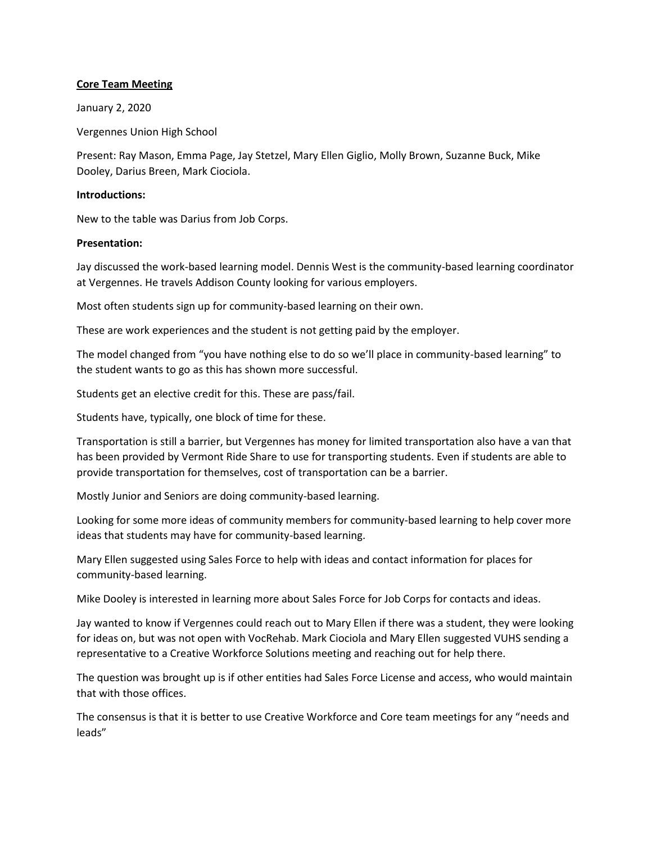## **Core Team Meeting**

January 2, 2020

Vergennes Union High School

Present: Ray Mason, Emma Page, Jay Stetzel, Mary Ellen Giglio, Molly Brown, Suzanne Buck, Mike Dooley, Darius Breen, Mark Ciociola.

### **Introductions:**

New to the table was Darius from Job Corps.

### **Presentation:**

Jay discussed the work-based learning model. Dennis West is the community-based learning coordinator at Vergennes. He travels Addison County looking for various employers.

Most often students sign up for community-based learning on their own.

These are work experiences and the student is not getting paid by the employer.

The model changed from "you have nothing else to do so we'll place in community-based learning" to the student wants to go as this has shown more successful.

Students get an elective credit for this. These are pass/fail.

Students have, typically, one block of time for these.

Transportation is still a barrier, but Vergennes has money for limited transportation also have a van that has been provided by Vermont Ride Share to use for transporting students. Even if students are able to provide transportation for themselves, cost of transportation can be a barrier.

Mostly Junior and Seniors are doing community-based learning.

Looking for some more ideas of community members for community-based learning to help cover more ideas that students may have for community-based learning.

Mary Ellen suggested using Sales Force to help with ideas and contact information for places for community-based learning.

Mike Dooley is interested in learning more about Sales Force for Job Corps for contacts and ideas.

Jay wanted to know if Vergennes could reach out to Mary Ellen if there was a student, they were looking for ideas on, but was not open with VocRehab. Mark Ciociola and Mary Ellen suggested VUHS sending a representative to a Creative Workforce Solutions meeting and reaching out for help there.

The question was brought up is if other entities had Sales Force License and access, who would maintain that with those offices.

The consensus is that it is better to use Creative Workforce and Core team meetings for any "needs and leads"